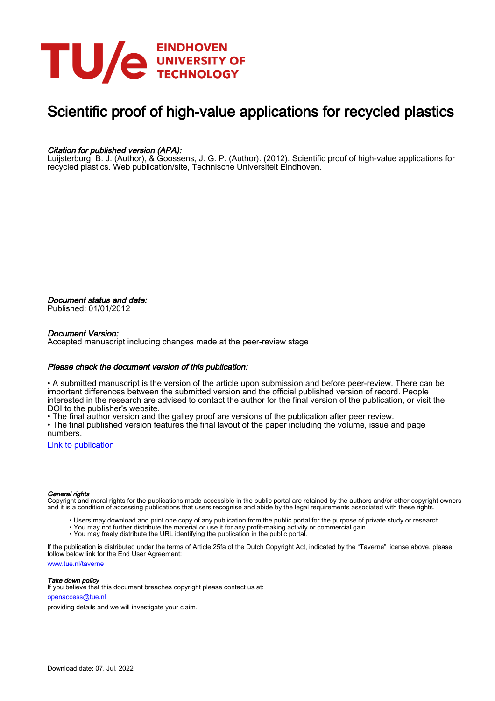

# Scientific proof of high-value applications for recycled plastics

#### Citation for published version (APA):

Luijsterburg, B. J. (Author), & Goossens, J. G. P. (Author). (2012). Scientific proof of high-value applications for recycled plastics. Web publication/site, Technische Universiteit Eindhoven.

Document status and date: Published: 01/01/2012

#### Document Version:

Accepted manuscript including changes made at the peer-review stage

#### Please check the document version of this publication:

• A submitted manuscript is the version of the article upon submission and before peer-review. There can be important differences between the submitted version and the official published version of record. People interested in the research are advised to contact the author for the final version of the publication, or visit the DOI to the publisher's website.

• The final author version and the galley proof are versions of the publication after peer review.

• The final published version features the final layout of the paper including the volume, issue and page numbers.

[Link to publication](https://research.tue.nl/en/publications/c61c5691-b91c-4010-9012-acbffbebcd43)

#### General rights

Copyright and moral rights for the publications made accessible in the public portal are retained by the authors and/or other copyright owners and it is a condition of accessing publications that users recognise and abide by the legal requirements associated with these rights.

- Users may download and print one copy of any publication from the public portal for the purpose of private study or research.
- You may not further distribute the material or use it for any profit-making activity or commercial gain
- You may freely distribute the URL identifying the publication in the public portal.

If the publication is distributed under the terms of Article 25fa of the Dutch Copyright Act, indicated by the "Taverne" license above, please follow below link for the End User Agreement:

www.tue.nl/taverne

**Take down policy**<br>If you believe that this document breaches copyright please contact us at:

openaccess@tue.nl

providing details and we will investigate your claim.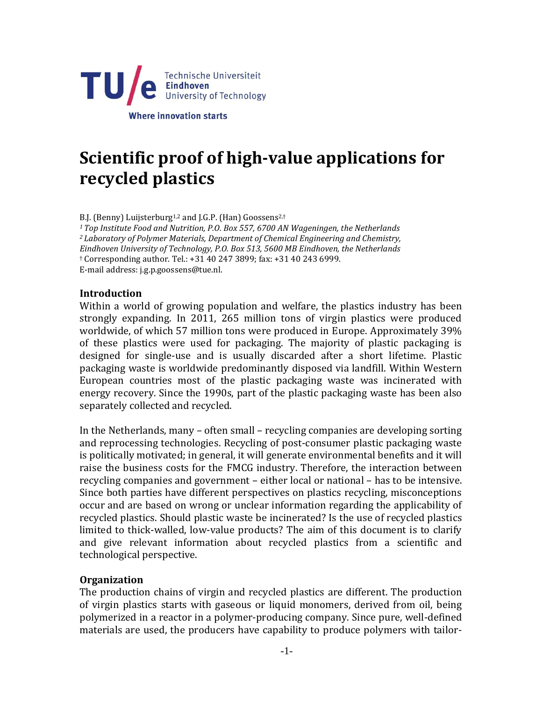

# **Scientific proof of high-value applications for recycled plastics**

B.J. (Benny) Luijsterburg<sup>1,2</sup> and J.G.P. (Han) Goossens<sup>2,†</sup>

*<sup>1</sup>Top Institute Food and Nutrition, P.O. Box 557, 6700 AN Wageningen, the Netherlands <sup>2</sup>Laboratory of Polymer Materials, Department of Chemical Engineering and Chemistry, Eindhoven University of Technology, P.O. Box 513, 5600 MB Eindhoven, the Netherlands* † Corresponding author. Tel.: +31 40 247 3899; fax: +31 40 243 6999. E-mail address: [j.g.p.goossens@tue.nl.](mailto:j.g.p.goossens@tue.nl)

### **Introduction**

Within a world of growing population and welfare, the plastics industry has been strongly expanding. In 2011, 265 million tons of virgin plastics were produced worldwide, of which 57 million tons were produced in Europe. Approximately 39% of these plastics were used for packaging. The majority of plastic packaging is designed for single-use and is usually discarded after a short lifetime. Plastic packaging waste is worldwide predominantly disposed via landfill. Within Western European countries most of the plastic packaging waste was incinerated with energy recovery. Since the 1990s, part of the plastic packaging waste has been also separately collected and recycled.

In the Netherlands, many – often small – recycling companies are developing sorting and reprocessing technologies. Recycling of post-consumer plastic packaging waste is politically motivated; in general, it will generate environmental benefits and it will raise the business costs for the FMCG industry. Therefore, the interaction between recycling companies and government – either local or national – has to be intensive. Since both parties have different perspectives on plastics recycling, misconceptions occur and are based on wrong or unclear information regarding the applicability of recycled plastics. Should plastic waste be incinerated? Is the use of recycled plastics limited to thick-walled, low-value products? The aim of this document is to clarify and give relevant information about recycled plastics from a scientific and technological perspective.

## **Organization**

The production chains of virgin and recycled plastics are different. The production of virgin plastics starts with gaseous or liquid monomers, derived from oil, being polymerized in a reactor in a polymer-producing company. Since pure, well-defined materials are used, the producers have capability to produce polymers with tailor-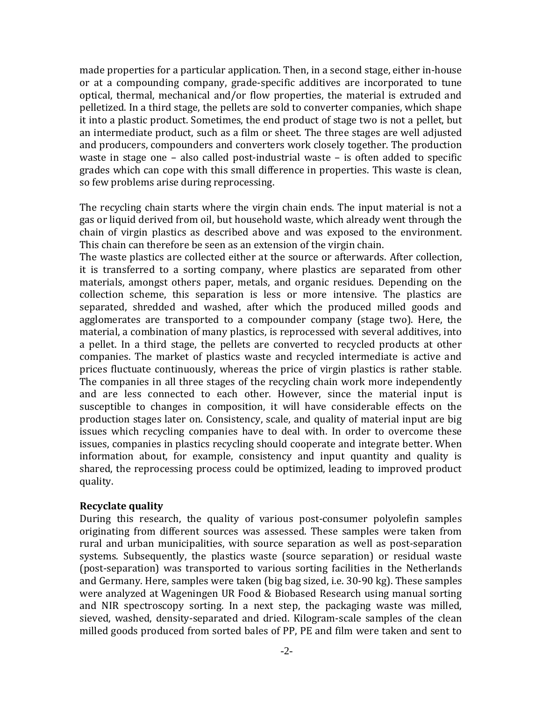made properties for a particular application. Then, in a second stage, either in-house or at a compounding company, grade-specific additives are incorporated to tune optical, thermal, mechanical and/or flow properties, the material is extruded and pelletized. In a third stage, the pellets are sold to converter companies, which shape it into a plastic product. Sometimes, the end product of stage two is not a pellet, but an intermediate product, such as a film or sheet. The three stages are well adjusted and producers, compounders and converters work closely together. The production waste in stage one – also called post-industrial waste – is often added to specific grades which can cope with this small difference in properties. This waste is clean, so few problems arise during reprocessing.

The recycling chain starts where the virgin chain ends. The input material is not a gas or liquid derived from oil, but household waste, which already went through the chain of virgin plastics as described above and was exposed to the environment. This chain can therefore be seen as an extension of the virgin chain.

The waste plastics are collected either at the source or afterwards. After collection, it is transferred to a sorting company, where plastics are separated from other materials, amongst others paper, metals, and organic residues. Depending on the collection scheme, this separation is less or more intensive. The plastics are separated, shredded and washed, after which the produced milled goods and agglomerates are transported to a compounder company (stage two). Here, the material, a combination of many plastics, is reprocessed with several additives, into a pellet. In a third stage, the pellets are converted to recycled products at other companies. The market of plastics waste and recycled intermediate is active and prices fluctuate continuously, whereas the price of virgin plastics is rather stable. The companies in all three stages of the recycling chain work more independently and are less connected to each other. However, since the material input is susceptible to changes in composition, it will have considerable effects on the production stages later on. Consistency, scale, and quality of material input are big issues which recycling companies have to deal with. In order to overcome these issues, companies in plastics recycling should cooperate and integrate better. When information about, for example, consistency and input quantity and quality is shared, the reprocessing process could be optimized, leading to improved product quality.

## **Recyclate quality**

During this research, the quality of various post-consumer polyolefin samples originating from different sources was assessed. These samples were taken from rural and urban municipalities, with source separation as well as post-separation systems. Subsequently, the plastics waste (source separation) or residual waste (post-separation) was transported to various sorting facilities in the Netherlands and Germany. Here, samples were taken (big bag sized, i.e. 30-90 kg). These samples were analyzed at Wageningen UR Food & Biobased Research using manual sorting and NIR spectroscopy sorting. In a next step, the packaging waste was milled, sieved, washed, density-separated and dried. Kilogram-scale samples of the clean milled goods produced from sorted bales of PP, PE and film were taken and sent to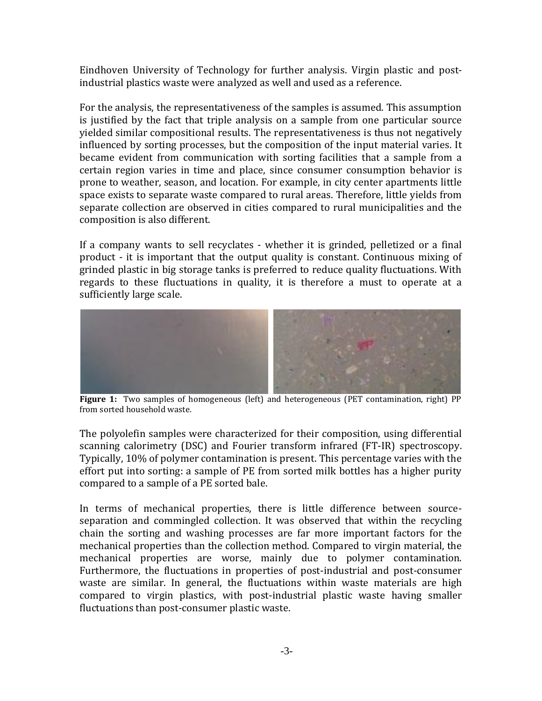Eindhoven University of Technology for further analysis. Virgin plastic and postindustrial plastics waste were analyzed as well and used as a reference.

For the analysis, the representativeness of the samples is assumed. This assumption is justified by the fact that triple analysis on a sample from one particular source yielded similar compositional results. The representativeness is thus not negatively influenced by sorting processes, but the composition of the input material varies. It became evident from communication with sorting facilities that a sample from a certain region varies in time and place, since consumer consumption behavior is prone to weather, season, and location. For example, in city center apartments little space exists to separate waste compared to rural areas. Therefore, little yields from separate collection are observed in cities compared to rural municipalities and the composition is also different.

If a company wants to sell recyclates - whether it is grinded, pelletized or a final product - it is important that the output quality is constant. Continuous mixing of grinded plastic in big storage tanks is preferred to reduce quality fluctuations. With regards to these fluctuations in quality, it is therefore a must to operate at a sufficiently large scale.



**Figure 1:** Two samples of homogeneous (left) and heterogeneous (PET contamination, right) PP from sorted household waste.

The polyolefin samples were characterized for their composition, using differential scanning calorimetry (DSC) and Fourier transform infrared (FT-IR) spectroscopy. Typically, 10% of polymer contamination is present. This percentage varies with the effort put into sorting: a sample of PE from sorted milk bottles has a higher purity compared to a sample of a PE sorted bale.

In terms of mechanical properties, there is little difference between sourceseparation and commingled collection. It was observed that within the recycling chain the sorting and washing processes are far more important factors for the mechanical properties than the collection method. Compared to virgin material, the mechanical properties are worse, mainly due to polymer contamination. Furthermore, the fluctuations in properties of post-industrial and post-consumer waste are similar. In general, the fluctuations within waste materials are high compared to virgin plastics, with post-industrial plastic waste having smaller fluctuations than post-consumer plastic waste.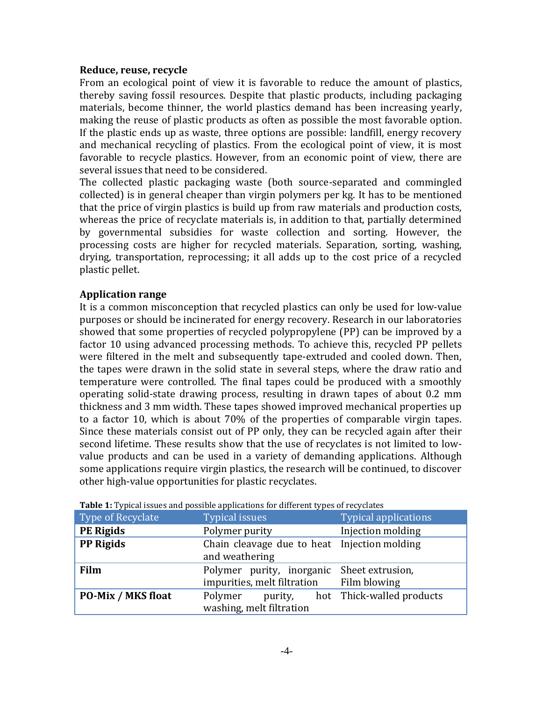### **Reduce, reuse, recycle**

From an ecological point of view it is favorable to reduce the amount of plastics, thereby saving fossil resources. Despite that plastic products, including packaging materials, become thinner, the world plastics demand has been increasing yearly, making the reuse of plastic products as often as possible the most favorable option. If the plastic ends up as waste, three options are possible: landfill, energy recovery and mechanical recycling of plastics. From the ecological point of view, it is most favorable to recycle plastics. However, from an economic point of view, there are several issues that need to be considered.

The collected plastic packaging waste (both source-separated and commingled collected) is in general cheaper than virgin polymers per kg. It has to be mentioned that the price of virgin plastics is build up from raw materials and production costs, whereas the price of recyclate materials is, in addition to that, partially determined by governmental subsidies for waste collection and sorting. However, the processing costs are higher for recycled materials. Separation, sorting, washing, drying, transportation, reprocessing; it all adds up to the cost price of a recycled plastic pellet.

# **Application range**

It is a common misconception that recycled plastics can only be used for low-value purposes or should be incinerated for energy recovery. Research in our laboratories showed that some properties of recycled polypropylene (PP) can be improved by a factor 10 using advanced processing methods. To achieve this, recycled PP pellets were filtered in the melt and subsequently tape-extruded and cooled down. Then, the tapes were drawn in the solid state in several steps, where the draw ratio and temperature were controlled. The final tapes could be produced with a smoothly operating solid-state drawing process, resulting in drawn tapes of about 0.2 mm thickness and 3 mm width. These tapes showed improved mechanical properties up to a factor 10, which is about 70% of the properties of comparable virgin tapes. Since these materials consist out of PP only, they can be recycled again after their second lifetime. These results show that the use of recyclates is not limited to lowvalue products and can be used in a variety of demanding applications. Although some applications require virgin plastics, the research will be continued, to discover other high-value opportunities for plastic recyclates.

| Type of Recyclate         | <b>Table 1</b> Typical issues and possible applications for unicrent types of recyclates<br><b>Typical issues</b> | Typical applications      |
|---------------------------|-------------------------------------------------------------------------------------------------------------------|---------------------------|
| <b>PE Rigids</b>          | Polymer purity                                                                                                    | Injection molding         |
| <b>PP Rigids</b>          | Chain cleavage due to heat Injection molding<br>and weathering                                                    |                           |
| Film                      | Polymer purity, inorganic Sheet extrusion,<br>impurities, melt filtration                                         | Film blowing              |
| <b>PO-Mix / MKS float</b> | Polymer<br>purity,<br>washing, melt filtration                                                                    | hot Thick-walled products |

**Table 1:** Typical issues and possible applications for different types of recyclates